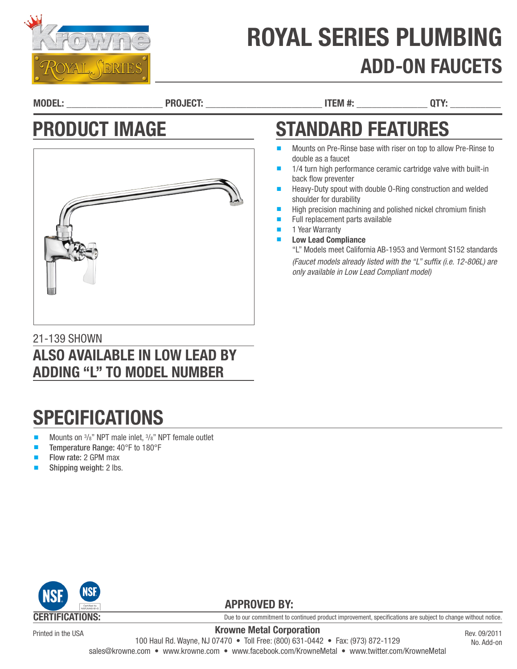

# ROYAL SERIES PLUMBING ADD-ON FAUCETS

MODEL: \_\_\_\_\_\_\_\_\_\_\_\_\_\_\_\_\_\_\_ PROJECT: \_\_\_\_\_\_\_\_\_\_\_\_\_\_\_\_\_\_\_\_\_\_\_ ITEM #: \_\_\_\_\_\_\_\_\_\_\_\_\_\_ QTY: \_\_\_\_\_\_\_\_\_\_

## PRODUCT IMAGE



### 21-139 SHOWN ALSO AVAILABLE IN LOW LEAD BY ADDING "L" TO MODEL NUMBER

## **SPECIFICATIONS**

- Mounts on  $\frac{3}{8}$ " NPT male inlet,  $\frac{3}{8}$ " NPT female outlet
- Temperature Range: 40°F to 180°F
- Flow rate: 2 GPM max
- Shipping weight: 2 lbs.



Printed in the USA

Due to our commitment to continued product improvement, specifications are subject to change without notice.

Krowne Metal Corporation 100 Haul Rd. Wayne, NJ 07470 • Toll Free: (800) 631-0442 • Fax: (973) 872-1129 sales@krowne.com • www.krowne.com • www.facebook.com/KrowneMetal • www.twitter.com/KrowneMetal

Rev. 09/2011 No. Add-on

STANDARD FEATURES

- Mounts on Pre-Rinse base with riser on top to allow Pre-Rinse to double as a faucet
- 1/4 turn high performance ceramic cartridge valve with built-in back flow preventer
- Heavy-Duty spout with double 0-Ring construction and welded shoulder for durability
- High precision machining and polished nickel chromium finish
- Full replacement parts available
- 1 Year Warranty
- **Low Lead Compliance**

"L" Models meet California AB-1953 and Vermont S152 standards *(Faucet models already listed with the "L" suffix (i.e. 12-806L) are only available in Low Lead Compliant model)*